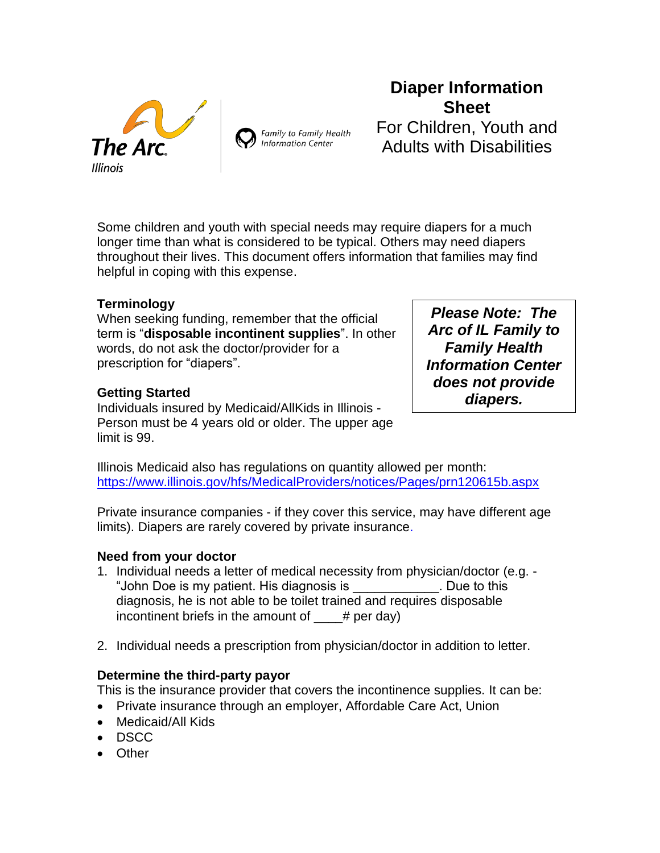



# **Diaper Information Sheet** For Children, Youth and Adults with Disabilities

Some children and youth with special needs may require diapers for a much longer time than what is considered to be typical. Others may need diapers throughout their lives. This document offers information that families may find helpful in coping with this expense.

#### **Terminology**

When seeking funding, remember that the official term is "**disposable incontinent supplies**". In other words, do not ask the doctor/provider for a prescription for "diapers".

#### **Getting Started**

Individuals insured by Medicaid/AllKids in Illinois - Person must be 4 years old or older. The upper age limit is 99.

*Please Note: The Arc of IL Family to Family Health Information Center does not provide diapers.*

Illinois Medicaid also has regulations on quantity allowed per month: <https://www.illinois.gov/hfs/MedicalProviders/notices/Pages/prn120615b.aspx>

Private insurance companies - if they cover this service, may have different age limits). Diapers are rarely covered by private insurance.

#### **Need from your doctor**

- 1. Individual needs a letter of medical necessity from physician/doctor (e.g. "John Doe is my patient. His diagnosis is \_\_\_\_\_\_\_\_\_\_\_\_. Due to this diagnosis, he is not able to be toilet trained and requires disposable incontinent briefs in the amount of  $y^2 + z^2 = 4$  per day)
- 2. Individual needs a prescription from physician/doctor in addition to letter.

# **Determine the third-party payor**

This is the insurance provider that covers the incontinence supplies. It can be:

- Private insurance through an employer, Affordable Care Act, Union
- Medicaid/All Kids
- DSCC
- Other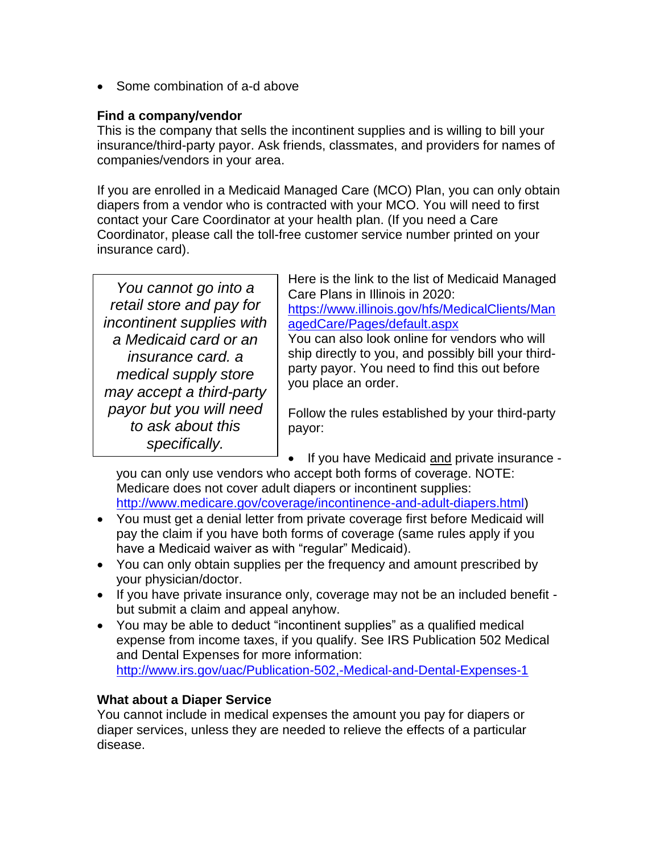• Some combination of a-d above

#### **Find a company/vendor**

This is the company that sells the incontinent supplies and is willing to bill your insurance/third-party payor. Ask friends, classmates, and providers for names of companies/vendors in your area.

If you are enrolled in a Medicaid Managed Care (MCO) Plan, you can only obtain diapers from a vendor who is contracted with your MCO. You will need to first contact your Care Coordinator at your health plan. (If you need a Care Coordinator, please call the toll-free customer service number printed on your insurance card).

| You cannot go into a      |
|---------------------------|
| retail store and pay for  |
| incontinent supplies with |
| a Medicaid card or an     |
| insurance card. a         |
| medical supply store      |
| may accept a third-party  |
| payor but you will need   |
| to ask about this         |
| specifically.             |

Here is the link to the list of Medicaid Managed Care Plans in Illinois in 2020: [https://www.illinois.gov/hfs/MedicalClients/Man](https://www.illinois.gov/hfs/MedicalClients/ManagedCare/Pages/default.aspx) [agedCare/Pages/default.aspx](https://www.illinois.gov/hfs/MedicalClients/ManagedCare/Pages/default.aspx) You can also look online for vendors who will ship directly to you, and possibly bill your thirdparty payor. You need to find this out before

Follow the rules established by your third-party payor:

• If you have Medicaid and private insurance -

you can only use vendors who accept both forms of coverage. NOTE: Medicare does not cover adult diapers or incontinent supplies: [http://www.medicare.gov/coverage/incontinence-and-adult-diapers.html\)](http://www.medicare.gov/coverage/incontinence-and-adult-diapers.html)

you place an order.

- You must get a denial letter from private coverage first before Medicaid will pay the claim if you have both forms of coverage (same rules apply if you have a Medicaid waiver as with "regular" Medicaid).
- You can only obtain supplies per the frequency and amount prescribed by your physician/doctor.
- If you have private insurance only, coverage may not be an included benefit but submit a claim and appeal anyhow.
- You may be able to deduct "incontinent supplies" as a qualified medical expense from income taxes, if you qualify. See IRS Publication 502 Medical and Dental Expenses for more information: <http://www.irs.gov/uac/Publication-502,-Medical-and-Dental-Expenses-1>

# **What about a Diaper Service**

You cannot include in medical expenses the amount you pay for diapers or diaper services, unless they are needed to relieve the effects of a particular disease.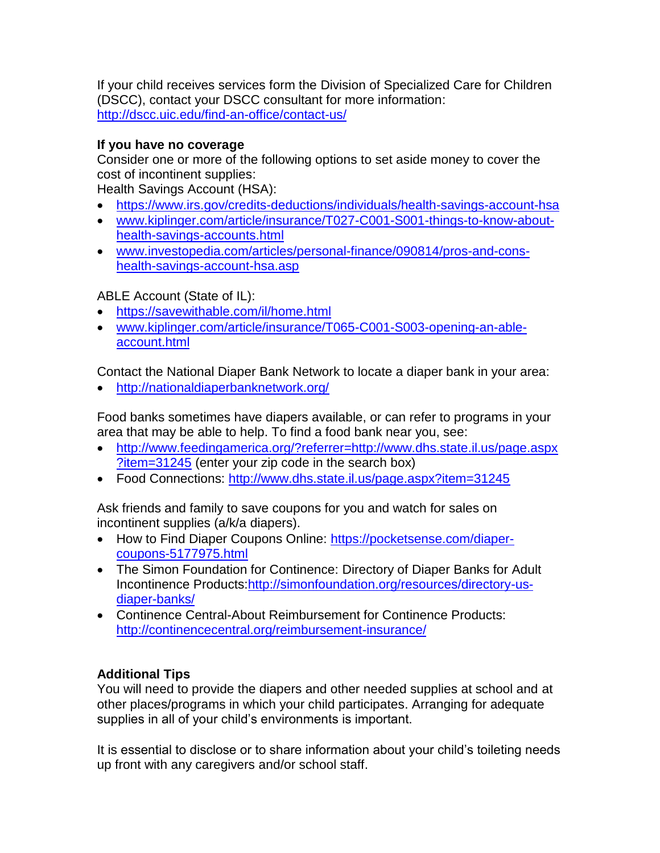If your child receives services form the Division of Specialized Care for Children (DSCC), contact your DSCC consultant for more information: <http://dscc.uic.edu/find-an-office/contact-us/>

# **If you have no coverage**

Consider one or more of the following options to set aside money to cover the cost of incontinent supplies:

Health Savings Account (HSA):

- <https://www.irs.gov/credits-deductions/individuals/health-savings-account-hsa>
- [www.kiplinger.com/article/insurance/T027-C001-S001-things-to-know-about](http://www.kiplinger.com/article/insurance/T027-C001-S001-things-to-know-about-health-savings-accounts.html)[health-savings-accounts.html](http://www.kiplinger.com/article/insurance/T027-C001-S001-things-to-know-about-health-savings-accounts.html)
- [www.investopedia.com/articles/personal-finance/090814/pros-and-cons](http://www.investopedia.com/articles/personal-finance/090814/pros-and-cons-health-savings-account-hsa.asp)[health-savings-account-hsa.asp](http://www.investopedia.com/articles/personal-finance/090814/pros-and-cons-health-savings-account-hsa.asp)

ABLE Account (State of IL):

- <https://savewithable.com/il/home.html>
- [www.kiplinger.com/article/insurance/T065-C001-S003-opening-an-able](http://www.kiplinger.com/article/insurance/T065-C001-S003-opening-an-able-account.html)[account.html](http://www.kiplinger.com/article/insurance/T065-C001-S003-opening-an-able-account.html)

Contact the National Diaper Bank Network to locate a diaper bank in your area:

<http://nationaldiaperbanknetwork.org/>

Food banks sometimes have diapers available, or can refer to programs in your area that may be able to help. To find a food bank near you, see:

- [http://www.feedingamerica.org/?referrer=http://www.dhs.state.il.us/page.aspx](http://www.feedingamerica.org/?referrer=http://www.dhs.state.il.us/page.aspx?item=31245) [?item=31245](http://www.feedingamerica.org/?referrer=http://www.dhs.state.il.us/page.aspx?item=31245) (enter your zip code in the search box)
- Food Connections: <http://www.dhs.state.il.us/page.aspx?item=31245>

Ask friends and family to save coupons for you and watch for sales on incontinent supplies (a/k/a diapers).

- How to Find Diaper Coupons Online: [https://pocketsense.com/diaper](https://pocketsense.com/diaper-coupons-5177975.html)[coupons-5177975.html](https://pocketsense.com/diaper-coupons-5177975.html)
- The Simon Foundation for Continence: Directory of Diaper Banks for Adult Incontinence Products[:http://simonfoundation.org/resources/directory-us](http://simonfoundation.org/resources/directory-us-diaper-banks/)[diaper-banks/](http://simonfoundation.org/resources/directory-us-diaper-banks/)
- Continence Central-About Reimbursement for Continence Products: <http://continencecentral.org/reimbursement-insurance/>

# **Additional Tips**

You will need to provide the diapers and other needed supplies at school and at other places/programs in which your child participates. Arranging for adequate supplies in all of your child's environments is important.

It is essential to disclose or to share information about your child's toileting needs up front with any caregivers and/or school staff.